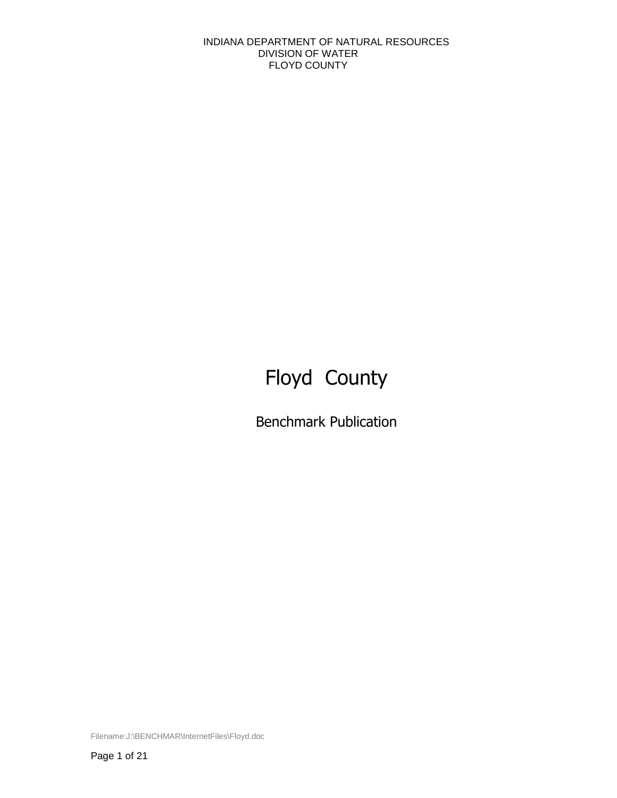# Floyd County

Benchmark Publication

Filename:J:\BENCHMAR\InternetFiles\Floyd.doc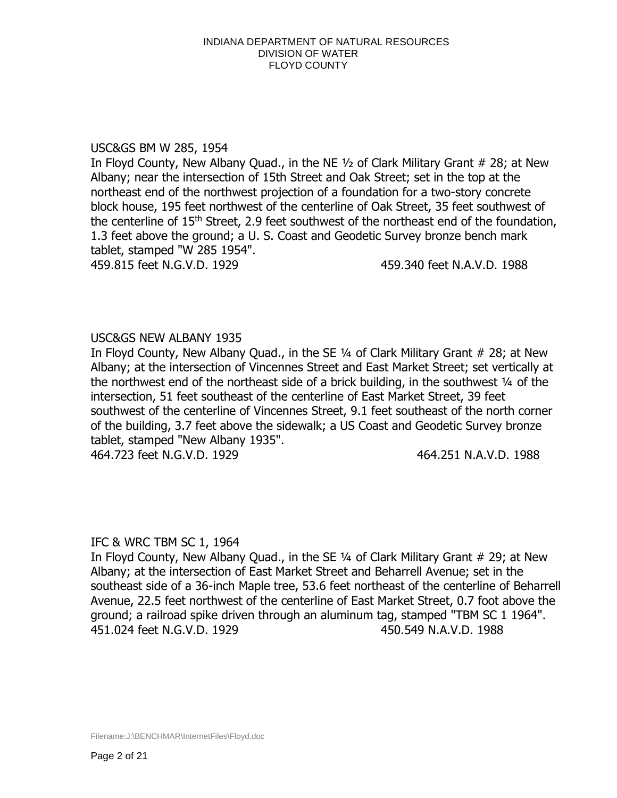### USC&GS BM W 285, 1954

In Floyd County, New Albany Quad., in the NE ½ of Clark Military Grant # 28; at New Albany; near the intersection of 15th Street and Oak Street; set in the top at the northeast end of the northwest projection of a foundation for a two-story concrete block house, 195 feet northwest of the centerline of Oak Street, 35 feet southwest of the centerline of 15<sup>th</sup> Street, 2.9 feet southwest of the northeast end of the foundation, 1.3 feet above the ground; a U. S. Coast and Geodetic Survey bronze bench mark tablet, stamped "W 285 1954".

459.815 feet N.G.V.D. 1929 459.340 feet N.A.V.D. 1988

# USC&GS NEW ALBANY 1935

In Floyd County, New Albany Quad., in the SE ¼ of Clark Military Grant # 28; at New Albany; at the intersection of Vincennes Street and East Market Street; set vertically at the northwest end of the northeast side of a brick building, in the southwest ¼ of the intersection, 51 feet southeast of the centerline of East Market Street, 39 feet southwest of the centerline of Vincennes Street, 9.1 feet southeast of the north corner of the building, 3.7 feet above the sidewalk; a US Coast and Geodetic Survey bronze tablet, stamped "New Albany 1935".

464.723 feet N.G.V.D. 1929 464.251 N.A.V.D. 1988

# IFC & WRC TBM SC 1, 1964

In Floyd County, New Albany Quad., in the SE ¼ of Clark Military Grant # 29; at New Albany; at the intersection of East Market Street and Beharrell Avenue; set in the southeast side of a 36-inch Maple tree, 53.6 feet northeast of the centerline of Beharrell Avenue, 22.5 feet northwest of the centerline of East Market Street, 0.7 foot above the ground; a railroad spike driven through an aluminum tag, stamped "TBM SC 1 1964". 451.024 feet N.G.V.D. 1929 450.549 N.A.V.D. 1988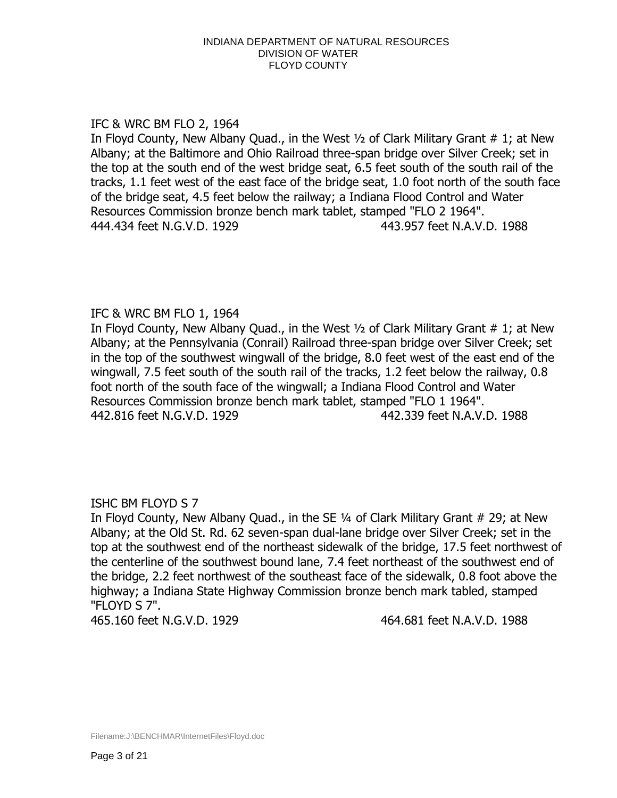### IFC & WRC BM FLO 2, 1964

In Floyd County, New Albany Quad., in the West ½ of Clark Military Grant # 1; at New Albany; at the Baltimore and Ohio Railroad three-span bridge over Silver Creek; set in the top at the south end of the west bridge seat, 6.5 feet south of the south rail of the tracks, 1.1 feet west of the east face of the bridge seat, 1.0 foot north of the south face of the bridge seat, 4.5 feet below the railway; a Indiana Flood Control and Water Resources Commission bronze bench mark tablet, stamped "FLO 2 1964". 444.434 feet N.G.V.D. 1929 443.957 feet N.A.V.D. 1988

# IFC & WRC BM FLO 1, 1964

In Floyd County, New Albany Quad., in the West ½ of Clark Military Grant # 1; at New Albany; at the Pennsylvania (Conrail) Railroad three-span bridge over Silver Creek; set in the top of the southwest wingwall of the bridge, 8.0 feet west of the east end of the wingwall, 7.5 feet south of the south rail of the tracks, 1.2 feet below the railway, 0.8 foot north of the south face of the wingwall; a Indiana Flood Control and Water Resources Commission bronze bench mark tablet, stamped "FLO 1 1964". 442.816 feet N.G.V.D. 1929 442.339 feet N.A.V.D. 1988

# ISHC BM FLOYD S 7

In Floyd County, New Albany Quad., in the SE ¼ of Clark Military Grant # 29; at New Albany; at the Old St. Rd. 62 seven-span dual-lane bridge over Silver Creek; set in the top at the southwest end of the northeast sidewalk of the bridge, 17.5 feet northwest of the centerline of the southwest bound lane, 7.4 feet northeast of the southwest end of the bridge, 2.2 feet northwest of the southeast face of the sidewalk, 0.8 foot above the highway; a Indiana State Highway Commission bronze bench mark tabled, stamped "FLOYD S 7".

465.160 feet N.G.V.D. 1929 464.681 feet N.A.V.D. 1988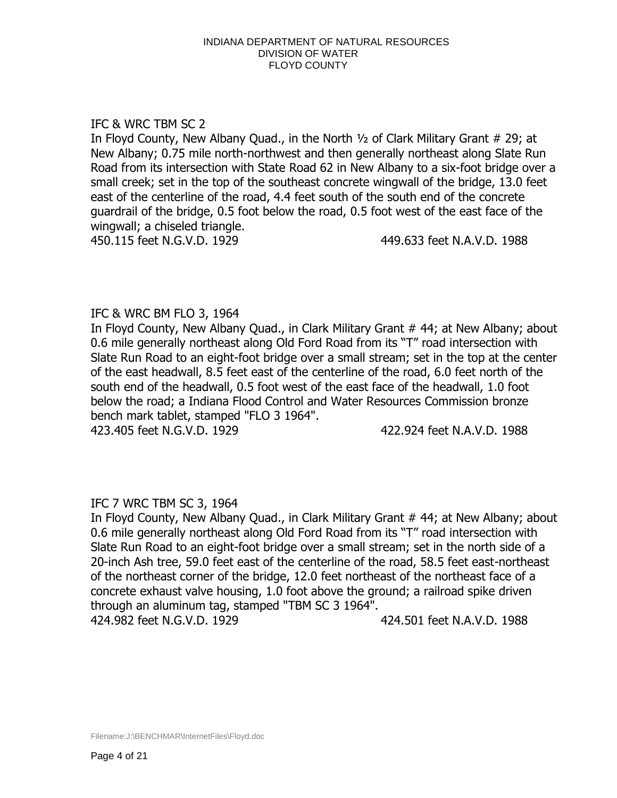IFC & WRC TBM SC 2

In Floyd County, New Albany Quad., in the North ½ of Clark Military Grant # 29; at New Albany; 0.75 mile north-northwest and then generally northeast along Slate Run Road from its intersection with State Road 62 in New Albany to a six-foot bridge over a small creek; set in the top of the southeast concrete wingwall of the bridge, 13.0 feet east of the centerline of the road, 4.4 feet south of the south end of the concrete guardrail of the bridge, 0.5 foot below the road, 0.5 foot west of the east face of the wingwall; a chiseled triangle.

450.115 feet N.G.V.D. 1929 449.633 feet N.A.V.D. 1988

# IFC & WRC BM FLO 3, 1964

In Floyd County, New Albany Quad., in Clark Military Grant # 44; at New Albany; about 0.6 mile generally northeast along Old Ford Road from its "T" road intersection with Slate Run Road to an eight-foot bridge over a small stream; set in the top at the center of the east headwall, 8.5 feet east of the centerline of the road, 6.0 feet north of the south end of the headwall, 0.5 foot west of the east face of the headwall, 1.0 foot below the road; a Indiana Flood Control and Water Resources Commission bronze bench mark tablet, stamped "FLO 3 1964".

423.405 feet N.G.V.D. 1929 422.924 feet N.A.V.D. 1988

# IFC 7 WRC TBM SC 3, 1964

In Floyd County, New Albany Quad., in Clark Military Grant # 44; at New Albany; about 0.6 mile generally northeast along Old Ford Road from its "T" road intersection with Slate Run Road to an eight-foot bridge over a small stream; set in the north side of a 20-inch Ash tree, 59.0 feet east of the centerline of the road, 58.5 feet east-northeast of the northeast corner of the bridge, 12.0 feet northeast of the northeast face of a concrete exhaust valve housing, 1.0 foot above the ground; a railroad spike driven through an aluminum tag, stamped "TBM SC 3 1964". 424.982 feet N.G.V.D. 1929 424.501 feet N.A.V.D. 1988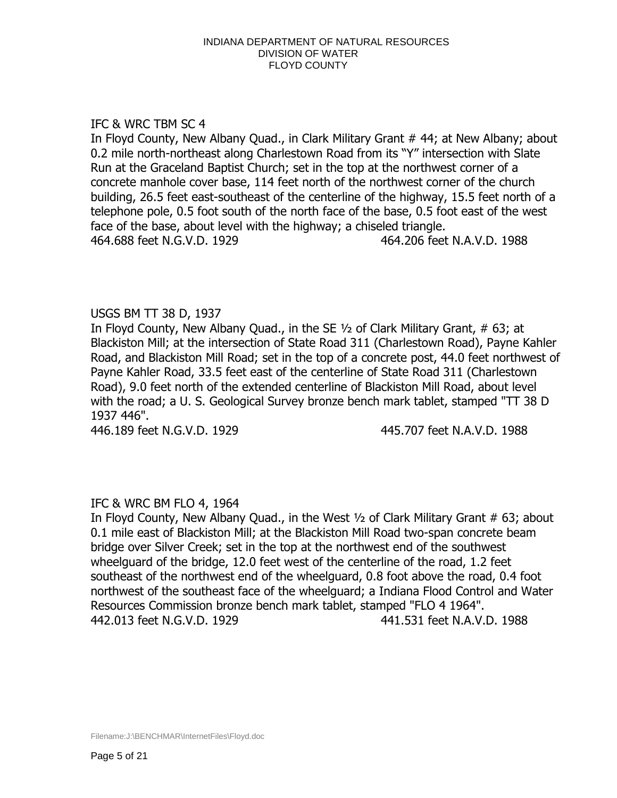IFC & WRC TBM SC 4

In Floyd County, New Albany Quad., in Clark Military Grant # 44; at New Albany; about 0.2 mile north-northeast along Charlestown Road from its "Y" intersection with Slate Run at the Graceland Baptist Church; set in the top at the northwest corner of a concrete manhole cover base, 114 feet north of the northwest corner of the church building, 26.5 feet east-southeast of the centerline of the highway, 15.5 feet north of a telephone pole, 0.5 foot south of the north face of the base, 0.5 foot east of the west face of the base, about level with the highway; a chiseled triangle. 464.688 feet N.G.V.D. 1929 464.206 feet N.A.V.D. 1988

# USGS BM TT 38 D, 1937

In Floyd County, New Albany Quad., in the SE ½ of Clark Military Grant, # 63; at Blackiston Mill; at the intersection of State Road 311 (Charlestown Road), Payne Kahler Road, and Blackiston Mill Road; set in the top of a concrete post, 44.0 feet northwest of Payne Kahler Road, 33.5 feet east of the centerline of State Road 311 (Charlestown Road), 9.0 feet north of the extended centerline of Blackiston Mill Road, about level with the road; a U. S. Geological Survey bronze bench mark tablet, stamped "TT 38 D 1937 446".

446.189 feet N.G.V.D. 1929 445.707 feet N.A.V.D. 1988

# IFC & WRC BM FLO 4, 1964

In Floyd County, New Albany Quad., in the West ½ of Clark Military Grant # 63; about 0.1 mile east of Blackiston Mill; at the Blackiston Mill Road two-span concrete beam bridge over Silver Creek; set in the top at the northwest end of the southwest wheelguard of the bridge, 12.0 feet west of the centerline of the road, 1.2 feet southeast of the northwest end of the wheelguard, 0.8 foot above the road, 0.4 foot northwest of the southeast face of the wheelguard; a Indiana Flood Control and Water Resources Commission bronze bench mark tablet, stamped "FLO 4 1964". 442.013 feet N.G.V.D. 1929 441.531 feet N.A.V.D. 1988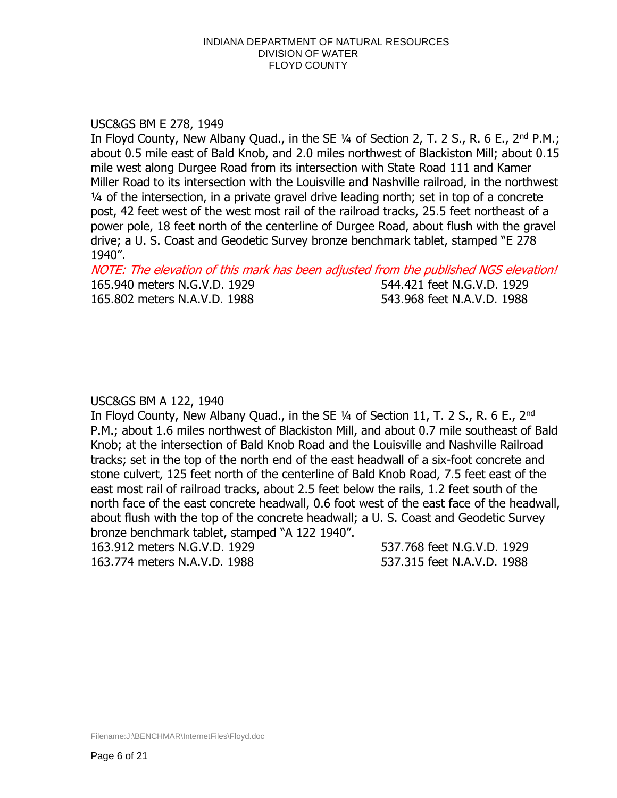### USC&GS BM E 278, 1949

In Floyd County, New Albany Quad., in the SE 1/4 of Section 2, T. 2 S., R. 6 E., 2<sup>nd</sup> P.M.; about 0.5 mile east of Bald Knob, and 2.0 miles northwest of Blackiston Mill; about 0.15 mile west along Durgee Road from its intersection with State Road 111 and Kamer Miller Road to its intersection with the Louisville and Nashville railroad, in the northwest  $\frac{1}{4}$  of the intersection, in a private gravel drive leading north; set in top of a concrete post, 42 feet west of the west most rail of the railroad tracks, 25.5 feet northeast of a power pole, 18 feet north of the centerline of Durgee Road, about flush with the gravel drive; a U. S. Coast and Geodetic Survey bronze benchmark tablet, stamped "E 278 1940".

NOTE: The elevation of this mark has been adjusted from the published NGS elevation! 165.940 meters N.G.V.D. 1929 544.421 feet N.G.V.D. 1929 165.802 meters N.A.V.D. 1988 543.968 feet N.A.V.D. 1988

### USC&GS BM A 122, 1940

In Floyd County, New Albany Quad., in the SE 1/4 of Section 11, T. 2 S., R. 6 E., 2<sup>nd</sup> P.M.; about 1.6 miles northwest of Blackiston Mill, and about 0.7 mile southeast of Bald Knob; at the intersection of Bald Knob Road and the Louisville and Nashville Railroad tracks; set in the top of the north end of the east headwall of a six-foot concrete and stone culvert, 125 feet north of the centerline of Bald Knob Road, 7.5 feet east of the east most rail of railroad tracks, about 2.5 feet below the rails, 1.2 feet south of the north face of the east concrete headwall, 0.6 foot west of the east face of the headwall, about flush with the top of the concrete headwall; a U. S. Coast and Geodetic Survey bronze benchmark tablet, stamped "A 122 1940".

163.912 meters N.G.V.D. 1929 537.768 feet N.G.V.D. 1929 163.774 meters N.A.V.D. 1988 537.315 feet N.A.V.D. 1988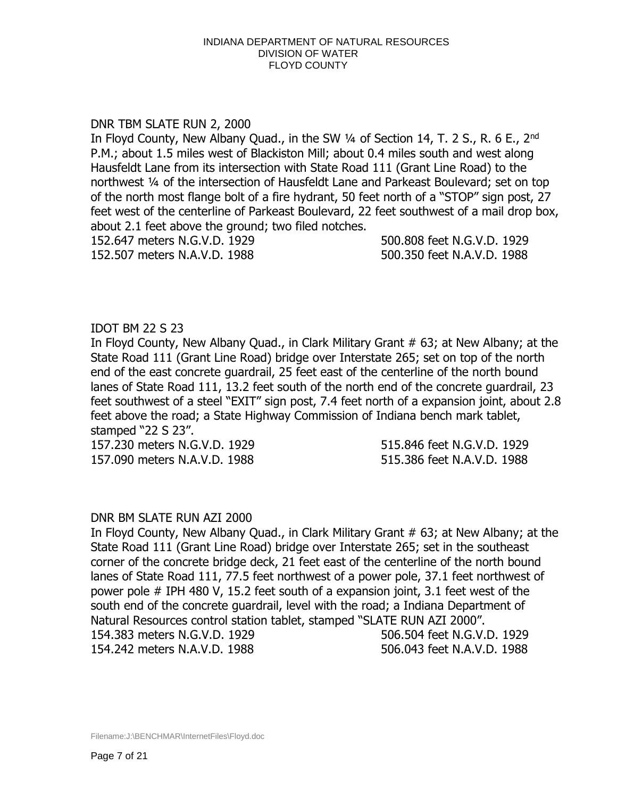DNR TBM SLATE RUN 2, 2000

In Floyd County, New Albany Quad., in the SW 1/4 of Section 14, T. 2 S., R. 6 E., 2<sup>nd</sup> P.M.; about 1.5 miles west of Blackiston Mill; about 0.4 miles south and west along Hausfeldt Lane from its intersection with State Road 111 (Grant Line Road) to the northwest ¼ of the intersection of Hausfeldt Lane and Parkeast Boulevard; set on top of the north most flange bolt of a fire hydrant, 50 feet north of a "STOP" sign post, 27 feet west of the centerline of Parkeast Boulevard, 22 feet southwest of a mail drop box, about 2.1 feet above the ground; two filed notches.

152.507 meters N.A.V.D. 1988 500.350 feet N.A.V.D. 1988

152.647 meters N.G.V.D. 1929 500.808 feet N.G.V.D. 1929

# IDOT BM 22 S 23

In Floyd County, New Albany Quad., in Clark Military Grant # 63; at New Albany; at the State Road 111 (Grant Line Road) bridge over Interstate 265; set on top of the north end of the east concrete guardrail, 25 feet east of the centerline of the north bound lanes of State Road 111, 13.2 feet south of the north end of the concrete guardrail, 23 feet southwest of a steel "EXIT" sign post, 7.4 feet north of a expansion joint, about 2.8 feet above the road; a State Highway Commission of Indiana bench mark tablet, stamped "22 S 23".

157.230 meters N.G.V.D. 1929 515.846 feet N.G.V.D. 1929 157.090 meters N.A.V.D. 1988 515.386 feet N.A.V.D. 1988

# DNR BM SLATE RUN AZI 2000

In Floyd County, New Albany Quad., in Clark Military Grant # 63; at New Albany; at the State Road 111 (Grant Line Road) bridge over Interstate 265; set in the southeast corner of the concrete bridge deck, 21 feet east of the centerline of the north bound lanes of State Road 111, 77.5 feet northwest of a power pole, 37.1 feet northwest of power pole # IPH 480 V, 15.2 feet south of a expansion joint, 3.1 feet west of the south end of the concrete guardrail, level with the road; a Indiana Department of Natural Resources control station tablet, stamped "SLATE RUN AZI 2000". 154.383 meters N.G.V.D. 1929 506.504 feet N.G.V.D. 1929 154.242 meters N.A.V.D. 1988 506.043 feet N.A.V.D. 1988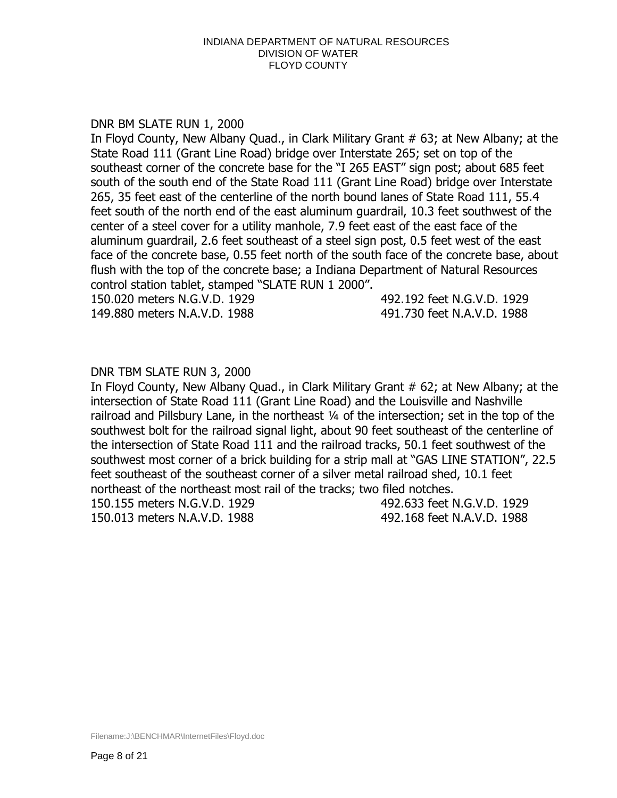### DNR BM SLATE RUN 1, 2000

In Floyd County, New Albany Quad., in Clark Military Grant # 63; at New Albany; at the State Road 111 (Grant Line Road) bridge over Interstate 265; set on top of the southeast corner of the concrete base for the "I 265 EAST" sign post; about 685 feet south of the south end of the State Road 111 (Grant Line Road) bridge over Interstate 265, 35 feet east of the centerline of the north bound lanes of State Road 111, 55.4 feet south of the north end of the east aluminum guardrail, 10.3 feet southwest of the center of a steel cover for a utility manhole, 7.9 feet east of the east face of the aluminum guardrail, 2.6 feet southeast of a steel sign post, 0.5 feet west of the east face of the concrete base, 0.55 feet north of the south face of the concrete base, about flush with the top of the concrete base; a Indiana Department of Natural Resources control station tablet, stamped "SLATE RUN 1 2000".

150.020 meters N.G.V.D. 1929 492.192 feet N.G.V.D. 1929

149.880 meters N.A.V.D. 1988 491.730 feet N.A.V.D. 1988

# DNR TBM SLATE RUN 3, 2000

In Floyd County, New Albany Quad., in Clark Military Grant # 62; at New Albany; at the intersection of State Road 111 (Grant Line Road) and the Louisville and Nashville railroad and Pillsbury Lane, in the northeast ¼ of the intersection; set in the top of the southwest bolt for the railroad signal light, about 90 feet southeast of the centerline of the intersection of State Road 111 and the railroad tracks, 50.1 feet southwest of the southwest most corner of a brick building for a strip mall at "GAS LINE STATION", 22.5 feet southeast of the southeast corner of a silver metal railroad shed, 10.1 feet northeast of the northeast most rail of the tracks; two filed notches. 150.155 meters N.G.V.D. 1929 492.633 feet N.G.V.D. 1929

150.013 meters N.A.V.D. 1988 492.168 feet N.A.V.D. 1988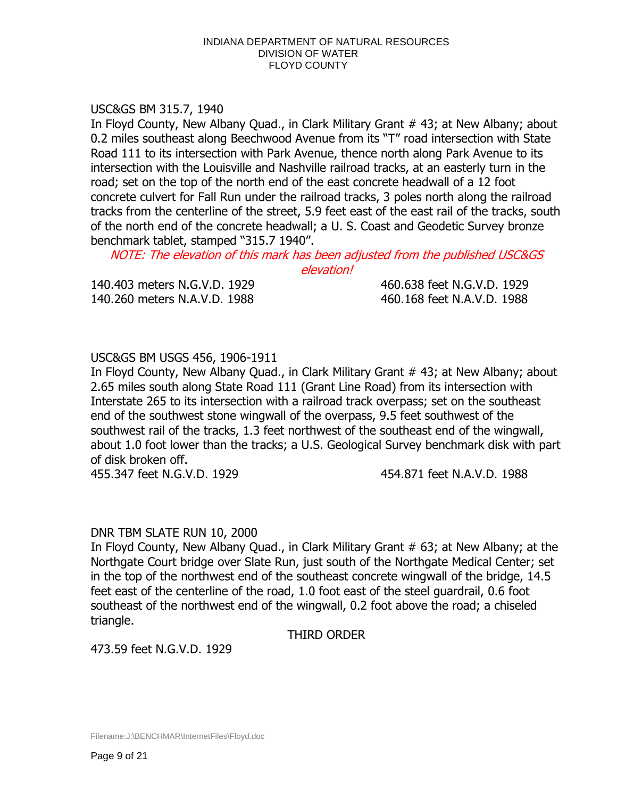### USC&GS BM 315.7, 1940

In Floyd County, New Albany Quad., in Clark Military Grant # 43; at New Albany; about 0.2 miles southeast along Beechwood Avenue from its "T" road intersection with State Road 111 to its intersection with Park Avenue, thence north along Park Avenue to its intersection with the Louisville and Nashville railroad tracks, at an easterly turn in the road; set on the top of the north end of the east concrete headwall of a 12 foot concrete culvert for Fall Run under the railroad tracks, 3 poles north along the railroad tracks from the centerline of the street, 5.9 feet east of the east rail of the tracks, south of the north end of the concrete headwall; a U. S. Coast and Geodetic Survey bronze benchmark tablet, stamped "315.7 1940".

NOTE: The elevation of this mark has been adjusted from the published USC&GS elevation!

140.403 meters N.G.V.D. 1929 460.638 feet N.G.V.D. 1929 140.260 meters N.A.V.D. 1988 460.168 feet N.A.V.D. 1988

### USC&GS BM USGS 456, 1906-1911

In Floyd County, New Albany Quad., in Clark Military Grant # 43; at New Albany; about 2.65 miles south along State Road 111 (Grant Line Road) from its intersection with Interstate 265 to its intersection with a railroad track overpass; set on the southeast end of the southwest stone wingwall of the overpass, 9.5 feet southwest of the southwest rail of the tracks, 1.3 feet northwest of the southeast end of the wingwall, about 1.0 foot lower than the tracks; a U.S. Geological Survey benchmark disk with part of disk broken off.

455.347 feet N.G.V.D. 1929 454.871 feet N.A.V.D. 1988

### DNR TBM SLATE RUN 10, 2000

In Floyd County, New Albany Quad., in Clark Military Grant # 63; at New Albany; at the Northgate Court bridge over Slate Run, just south of the Northgate Medical Center; set in the top of the northwest end of the southeast concrete wingwall of the bridge, 14.5 feet east of the centerline of the road, 1.0 foot east of the steel guardrail, 0.6 foot southeast of the northwest end of the wingwall, 0.2 foot above the road; a chiseled triangle.

### THIRD ORDER

473.59 feet N.G.V.D. 1929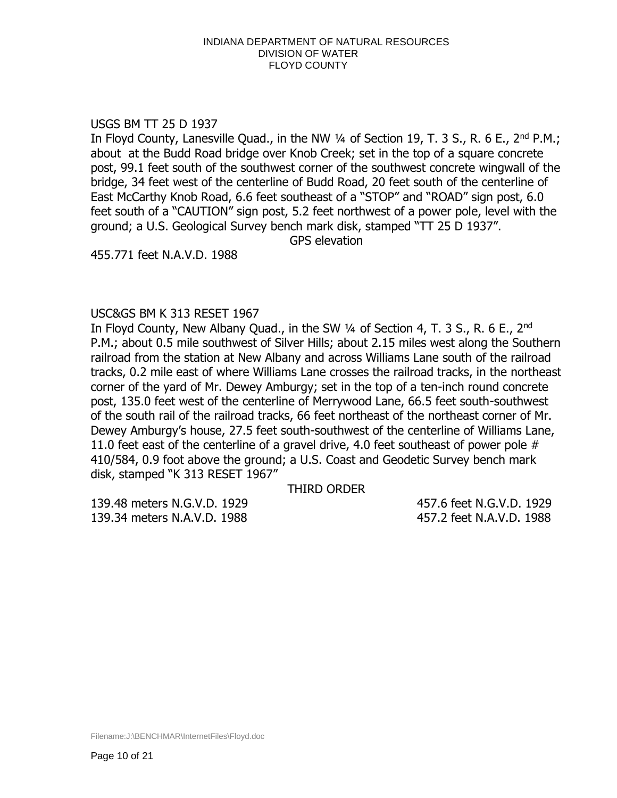### USGS BM TT 25 D 1937

In Floyd County, Lanesville Quad., in the NW 1/4 of Section 19, T. 3 S., R. 6 E., 2<sup>nd</sup> P.M.; about at the Budd Road bridge over Knob Creek; set in the top of a square concrete post, 99.1 feet south of the southwest corner of the southwest concrete wingwall of the bridge, 34 feet west of the centerline of Budd Road, 20 feet south of the centerline of East McCarthy Knob Road, 6.6 feet southeast of a "STOP" and "ROAD" sign post, 6.0 feet south of a "CAUTION" sign post, 5.2 feet northwest of a power pole, level with the ground; a U.S. Geological Survey bench mark disk, stamped "TT 25 D 1937".

GPS elevation

455.771 feet N.A.V.D. 1988

### USC&GS BM K 313 RESET 1967

In Floyd County, New Albany Quad., in the SW 1/4 of Section 4, T. 3 S., R. 6 E., 2<sup>nd</sup> P.M.; about 0.5 mile southwest of Silver Hills; about 2.15 miles west along the Southern railroad from the station at New Albany and across Williams Lane south of the railroad tracks, 0.2 mile east of where Williams Lane crosses the railroad tracks, in the northeast corner of the yard of Mr. Dewey Amburgy; set in the top of a ten-inch round concrete post, 135.0 feet west of the centerline of Merrywood Lane, 66.5 feet south-southwest of the south rail of the railroad tracks, 66 feet northeast of the northeast corner of Mr. Dewey Amburgy's house, 27.5 feet south-southwest of the centerline of Williams Lane, 11.0 feet east of the centerline of a gravel drive, 4.0 feet southeast of power pole  $#$ 410/584, 0.9 foot above the ground; a U.S. Coast and Geodetic Survey bench mark disk, stamped "K 313 RESET 1967"

### THIRD ORDER

139.48 meters N.G.V.D. 1929 457.6 feet N.G.V.D. 1929 139.34 meters N.A.V.D. 1988 457.2 feet N.A.V.D. 1988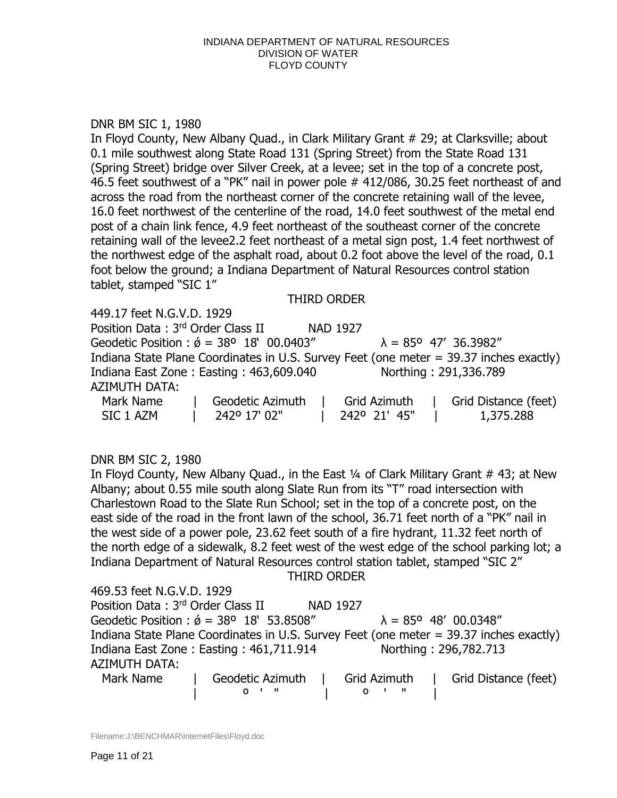DNR BM SIC 1, 1980

In Floyd County, New Albany Quad., in Clark Military Grant # 29; at Clarksville; about 0.1 mile southwest along State Road 131 (Spring Street) from the State Road 131 (Spring Street) bridge over Silver Creek, at a levee; set in the top of a concrete post, 46.5 feet southwest of a "PK" nail in power pole # 412/086, 30.25 feet northeast of and across the road from the northeast corner of the concrete retaining wall of the levee, 16.0 feet northwest of the centerline of the road, 14.0 feet southwest of the metal end post of a chain link fence, 4.9 feet northeast of the southeast corner of the concrete retaining wall of the levee2.2 feet northeast of a metal sign post, 1.4 feet northwest of the northwest edge of the asphalt road, about 0.2 foot above the level of the road, 0.1 foot below the ground; a Indiana Department of Natural Resources control station tablet, stamped "SIC 1"

### THIRD ORDER

| 449.17 feet N.G.V.D. 1929                             |                                                                                        |
|-------------------------------------------------------|----------------------------------------------------------------------------------------|
| Position Data: 3rd Order Class II                     | NAD 1927                                                                               |
| Geodetic Position : $\acute{\phi}$ = 38° 18' 00.0403" | $\lambda = 85^{\circ}$ 47' 36.3982"                                                    |
|                                                       | Indiana State Plane Coordinates in U.S. Survey Feet (one meter = 39.37 inches exactly) |
| Indiana East Zone: Easting: 463,609.040               | Northing: 291,336.789                                                                  |
| <b>AZIMUTH DATA:</b>                                  |                                                                                        |
|                                                       |                                                                                        |

| Mark Name | Geodetic Azimuth | <b>Grid Azimuth</b> | Grid Distance (feet) |
|-----------|------------------|---------------------|----------------------|
| SIC 1 AZM | 242° 17' 02"     | 242° 21' 45"        | 1,375.288            |

DNR BM SIC 2, 1980

469.53 feet N.G.V.D. 1929

In Floyd County, New Albany Quad., in the East 1/4 of Clark Military Grant # 43; at New Albany; about 0.55 mile south along Slate Run from its "T" road intersection with Charlestown Road to the Slate Run School; set in the top of a concrete post, on the east side of the road in the front lawn of the school, 36.71 feet north of a "PK" nail in the west side of a power pole, 23.62 feet south of a fire hydrant, 11.32 feet north of the north edge of a sidewalk, 8.2 feet west of the west edge of the school parking lot; a Indiana Department of Natural Resources control station tablet, stamped "SIC 2"

THIRD ORDER

| Position Data: 3rd Order Class II                     |                  | NAD 1927 |              |                                                                                        |
|-------------------------------------------------------|------------------|----------|--------------|----------------------------------------------------------------------------------------|
| Geodetic Position : $\acute{\phi}$ = 38° 18' 53.8508" |                  |          |              | $\lambda = 85^{\circ}$ 48' 00.0348"                                                    |
|                                                       |                  |          |              | Indiana State Plane Coordinates in U.S. Survey Feet (one meter = 39.37 inches exactly) |
| Indiana East Zone: Easting: 461,711.914               |                  |          |              | Northing: 296,782.713                                                                  |
| <b>AZIMUTH DATA:</b>                                  |                  |          |              |                                                                                        |
| Mark Name                                             | Geodetic Azimuth |          | Grid Azimuth | Grid Distance (feet)                                                                   |
|                                                       |                  |          |              |                                                                                        |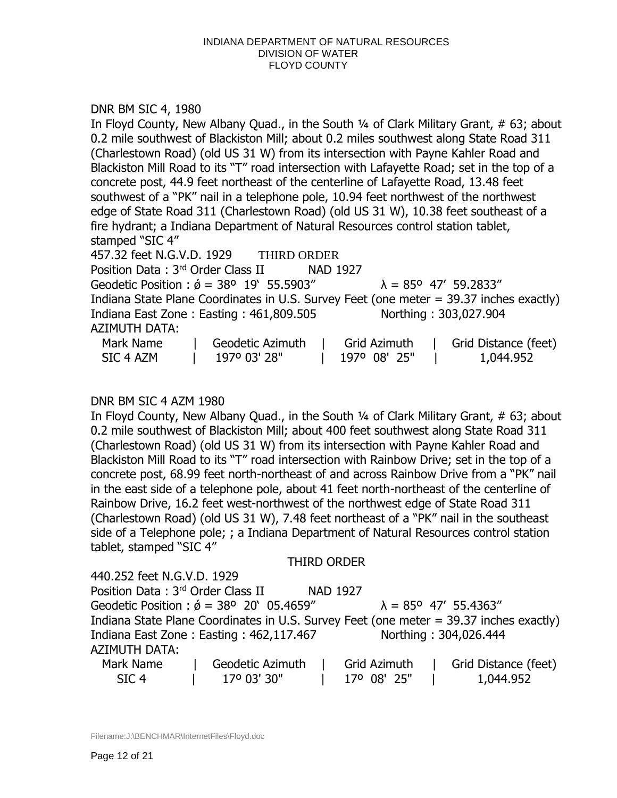DNR BM SIC 4, 1980

In Floyd County, New Albany Quad., in the South ¼ of Clark Military Grant, # 63; about 0.2 mile southwest of Blackiston Mill; about 0.2 miles southwest along State Road 311 (Charlestown Road) (old US 31 W) from its intersection with Payne Kahler Road and Blackiston Mill Road to its "T" road intersection with Lafayette Road; set in the top of a concrete post, 44.9 feet northeast of the centerline of Lafayette Road, 13.48 feet southwest of a "PK" nail in a telephone pole, 10.94 feet northwest of the northwest edge of State Road 311 (Charlestown Road) (old US 31 W), 10.38 feet southeast of a fire hydrant; a Indiana Department of Natural Resources control station tablet, stamped "SIC 4"

457.32 feet N.G.V.D. 1929 THIRD ORDER Position Data: 3<sup>rd</sup> Order Class II NAD 1927 Geodetic Position :  $\acute{\theta}$  = 38° 19' 55.5903"  $\lambda$  = 85° 47' 59.2833" Indiana State Plane Coordinates in U.S. Survey Feet (one meter = 39.37 inches exactly) Indiana East Zone : Easting : 461,809.505 Northing : 303,027.904 AZIMUTH DATA: Mark Name | Geodetic Azimuth | Grid Azimuth | Grid Distance (feet) SIC 4 AZM | 197º 03' 28" | 197º 08' 25" | 1,044.952

### DNR BM SIC 4 AZM 1980

In Floyd County, New Albany Quad., in the South ¼ of Clark Military Grant, # 63; about 0.2 mile southwest of Blackiston Mill; about 400 feet southwest along State Road 311 (Charlestown Road) (old US 31 W) from its intersection with Payne Kahler Road and Blackiston Mill Road to its "T" road intersection with Rainbow Drive; set in the top of a concrete post, 68.99 feet north-northeast of and across Rainbow Drive from a "PK" nail in the east side of a telephone pole, about 41 feet north-northeast of the centerline of Rainbow Drive, 16.2 feet west-northwest of the northwest edge of State Road 311 (Charlestown Road) (old US 31 W), 7.48 feet northeast of a "PK" nail in the southeast side of a Telephone pole; ; a Indiana Department of Natural Resources control station tablet, stamped "SIC 4"

# THIRD ORDER

| 440.252 feet N.G.V.D. 1929                                                             |                                                       |                 |                                     |  |
|----------------------------------------------------------------------------------------|-------------------------------------------------------|-----------------|-------------------------------------|--|
| Position Data: 3rd Order Class II                                                      |                                                       | <b>NAD 1927</b> |                                     |  |
|                                                                                        | Geodetic Position : $\acute{\phi}$ = 38° 20' 05.4659" |                 | $\lambda = 85^{\circ}$ 47' 55.4363" |  |
| Indiana State Plane Coordinates in U.S. Survey Feet (one meter = 39.37 inches exactly) |                                                       |                 |                                     |  |
|                                                                                        | Indiana East Zone: Easting: 462,117.467               |                 | Northing: 304,026.444               |  |
| <b>AZIMUTH DATA:</b>                                                                   |                                                       |                 |                                     |  |
| Mark Name                                                                              | Geodetic Azimuth                                      | Grid Azimuth    | Grid Distance (feet)                |  |
| SIC <sub>4</sub>                                                                       | 17º 03' 30"                                           | 17º 08' 25"     | 1,044.952                           |  |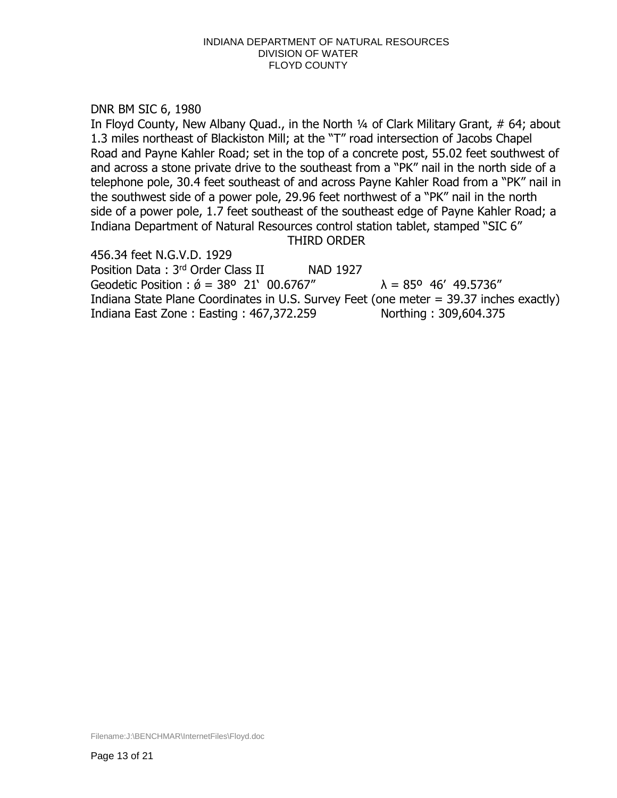DNR BM SIC 6, 1980

In Floyd County, New Albany Quad., in the North 1/4 of Clark Military Grant, # 64; about 1.3 miles northeast of Blackiston Mill; at the "T" road intersection of Jacobs Chapel Road and Payne Kahler Road; set in the top of a concrete post, 55.02 feet southwest of and across a stone private drive to the southeast from a "PK" nail in the north side of a telephone pole, 30.4 feet southeast of and across Payne Kahler Road from a "PK" nail in the southwest side of a power pole, 29.96 feet northwest of a "PK" nail in the north side of a power pole, 1.7 feet southeast of the southeast edge of Payne Kahler Road; a Indiana Department of Natural Resources control station tablet, stamped "SIC 6"

THIRD ORDER

456.34 feet N.G.V.D. 1929 Position Data: 3<sup>rd</sup> Order Class II NAD 1927 Geodetic Position :  $\acute{\alpha}$  = 38° 21' 00.6767"  $\lambda$  = 85° 46' 49.5736" Indiana State Plane Coordinates in U.S. Survey Feet (one meter = 39.37 inches exactly) Indiana East Zone : Easting : 467,372.259 Northing : 309,604.375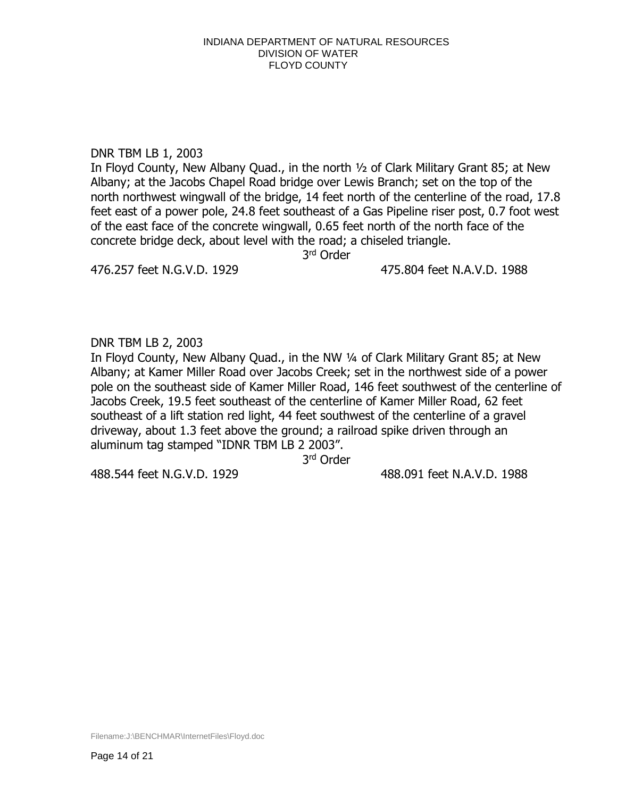### DNR TBM LB 1, 2003

In Floyd County, New Albany Quad., in the north ½ of Clark Military Grant 85; at New Albany; at the Jacobs Chapel Road bridge over Lewis Branch; set on the top of the north northwest wingwall of the bridge, 14 feet north of the centerline of the road, 17.8 feet east of a power pole, 24.8 feet southeast of a Gas Pipeline riser post, 0.7 foot west of the east face of the concrete wingwall, 0.65 feet north of the north face of the concrete bridge deck, about level with the road; a chiseled triangle.

3 rd Order

476.257 feet N.G.V.D. 1929 475.804 feet N.A.V.D. 1988

# DNR TBM LB 2, 2003

In Floyd County, New Albany Quad., in the NW ¼ of Clark Military Grant 85; at New Albany; at Kamer Miller Road over Jacobs Creek; set in the northwest side of a power pole on the southeast side of Kamer Miller Road, 146 feet southwest of the centerline of Jacobs Creek, 19.5 feet southeast of the centerline of Kamer Miller Road, 62 feet southeast of a lift station red light, 44 feet southwest of the centerline of a gravel driveway, about 1.3 feet above the ground; a railroad spike driven through an aluminum tag stamped "IDNR TBM LB 2 2003".

3 rd Order

488.544 feet N.G.V.D. 1929 488.091 feet N.A.V.D. 1988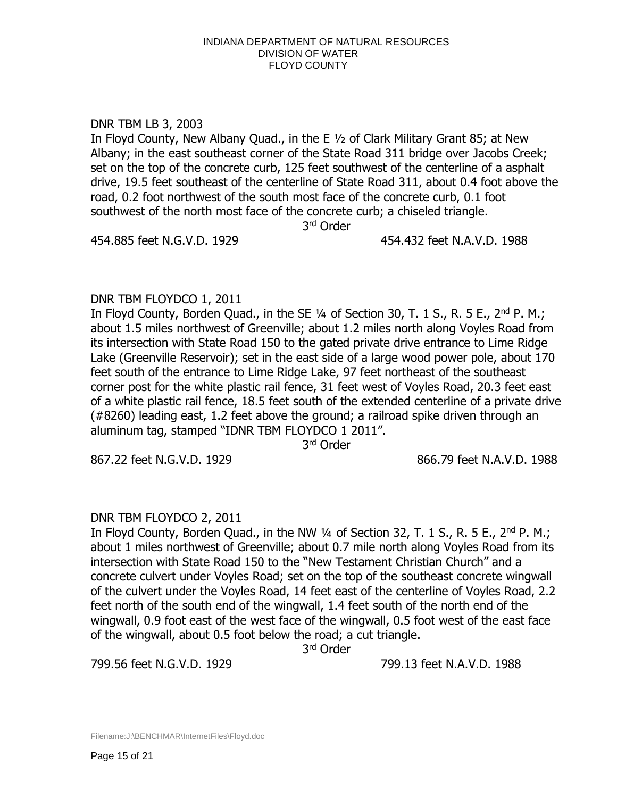DNR TBM LB 3, 2003

In Floyd County, New Albany Quad., in the E ½ of Clark Military Grant 85; at New Albany; in the east southeast corner of the State Road 311 bridge over Jacobs Creek; set on the top of the concrete curb, 125 feet southwest of the centerline of a asphalt drive, 19.5 feet southeast of the centerline of State Road 311, about 0.4 foot above the road, 0.2 foot northwest of the south most face of the concrete curb, 0.1 foot southwest of the north most face of the concrete curb; a chiseled triangle.

3 rd Order

454.885 feet N.G.V.D. 1929 454.432 feet N.A.V.D. 1988

# DNR TBM FLOYDCO 1, 2011

In Floyd County, Borden Quad., in the SE  $1/4$  of Section 30, T. 1 S., R. 5 E.,  $2^{nd}$  P. M.; about 1.5 miles northwest of Greenville; about 1.2 miles north along Voyles Road from its intersection with State Road 150 to the gated private drive entrance to Lime Ridge Lake (Greenville Reservoir); set in the east side of a large wood power pole, about 170 feet south of the entrance to Lime Ridge Lake, 97 feet northeast of the southeast corner post for the white plastic rail fence, 31 feet west of Voyles Road, 20.3 feet east of a white plastic rail fence, 18.5 feet south of the extended centerline of a private drive (#8260) leading east, 1.2 feet above the ground; a railroad spike driven through an aluminum tag, stamped "IDNR TBM FLOYDCO 1 2011".

3 rd Order

867.22 feet N.G.V.D. 1929 866.79 feet N.A.V.D. 1988

# DNR TBM FLOYDCO 2, 2011

In Floyd County, Borden Quad., in the NW  $\frac{1}{4}$  of Section 32, T. 1 S., R. 5 E., 2<sup>nd</sup> P. M.; about 1 miles northwest of Greenville; about 0.7 mile north along Voyles Road from its intersection with State Road 150 to the "New Testament Christian Church" and a concrete culvert under Voyles Road; set on the top of the southeast concrete wingwall of the culvert under the Voyles Road, 14 feet east of the centerline of Voyles Road, 2.2 feet north of the south end of the wingwall, 1.4 feet south of the north end of the wingwall, 0.9 foot east of the west face of the wingwall, 0.5 foot west of the east face of the wingwall, about 0.5 foot below the road; a cut triangle.

3 rd Order

799.56 feet N.G.V.D. 1929 799.13 feet N.A.V.D. 1988

Filename:J:\BENCHMAR\InternetFiles\Floyd.doc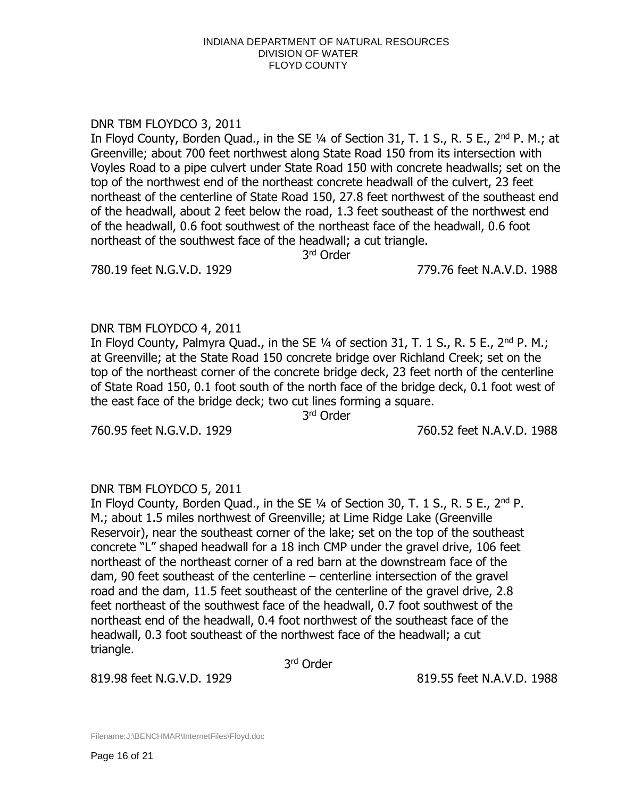### DNR TBM FLOYDCO 3, 2011

In Floyd County, Borden Quad., in the SE  $\frac{1}{4}$  of Section 31, T. 1 S., R. 5 E., 2<sup>nd</sup> P. M.; at Greenville; about 700 feet northwest along State Road 150 from its intersection with Voyles Road to a pipe culvert under State Road 150 with concrete headwalls; set on the top of the northwest end of the northeast concrete headwall of the culvert, 23 feet northeast of the centerline of State Road 150, 27.8 feet northwest of the southeast end of the headwall, about 2 feet below the road, 1.3 feet southeast of the northwest end of the headwall, 0.6 foot southwest of the northeast face of the headwall, 0.6 foot northeast of the southwest face of the headwall; a cut triangle.

3 rd Order

780.19 feet N.G.V.D. 1929 779.76 feet N.A.V.D. 1988

# DNR TBM FLOYDCO 4, 2011

In Floyd County, Palmyra Quad., in the SE  $\frac{1}{4}$  of section 31, T. 1 S., R. 5 E., 2<sup>nd</sup> P. M.; at Greenville; at the State Road 150 concrete bridge over Richland Creek; set on the top of the northeast corner of the concrete bridge deck, 23 feet north of the centerline of State Road 150, 0.1 foot south of the north face of the bridge deck, 0.1 foot west of the east face of the bridge deck; two cut lines forming a square.

3 rd Order

760.95 feet N.G.V.D. 1929 760.52 feet N.A.V.D. 1988

# DNR TBM FLOYDCO 5, 2011

In Floyd County, Borden Quad., in the SE  $\frac{1}{4}$  of Section 30, T. 1 S., R. 5 E., 2<sup>nd</sup> P. M.; about 1.5 miles northwest of Greenville; at Lime Ridge Lake (Greenville Reservoir), near the southeast corner of the lake; set on the top of the southeast concrete "L" shaped headwall for a 18 inch CMP under the gravel drive, 106 feet northeast of the northeast corner of a red barn at the downstream face of the dam, 90 feet southeast of the centerline – centerline intersection of the gravel road and the dam, 11.5 feet southeast of the centerline of the gravel drive, 2.8 feet northeast of the southwest face of the headwall, 0.7 foot southwest of the northeast end of the headwall, 0.4 foot northwest of the southeast face of the headwall, 0.3 foot southeast of the northwest face of the headwall; a cut triangle.

3 rd Order

819.98 feet N.G.V.D. 1929 819.55 feet N.A.V.D. 1988

Filename:J:\BENCHMAR\InternetFiles\Floyd.doc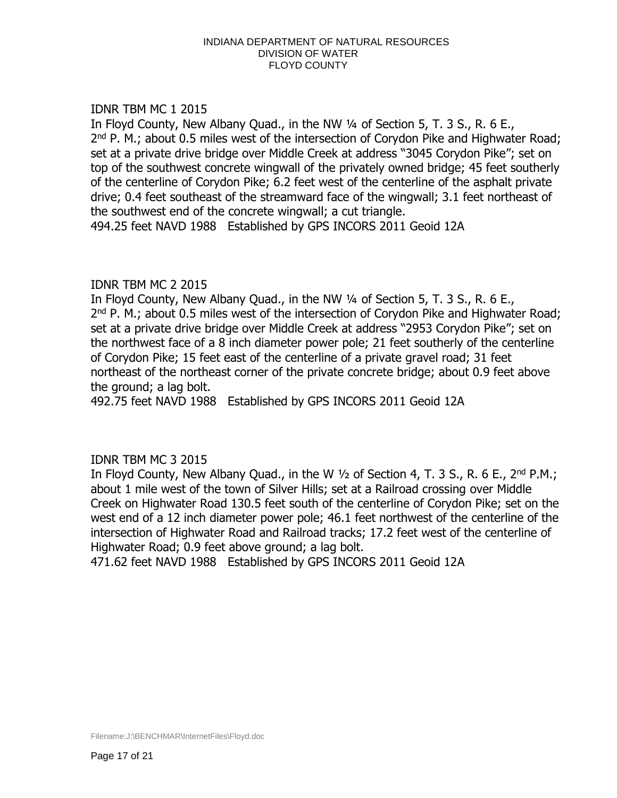# IDNR TBM MC 1 2015

In Floyd County, New Albany Quad., in the NW ¼ of Section 5, T. 3 S., R. 6 E., 2<sup>nd</sup> P. M.; about 0.5 miles west of the intersection of Corydon Pike and Highwater Road; set at a private drive bridge over Middle Creek at address "3045 Corydon Pike"; set on top of the southwest concrete wingwall of the privately owned bridge; 45 feet southerly of the centerline of Corydon Pike; 6.2 feet west of the centerline of the asphalt private drive; 0.4 feet southeast of the streamward face of the wingwall; 3.1 feet northeast of the southwest end of the concrete wingwall; a cut triangle. 494.25 feet NAVD 1988 Established by GPS INCORS 2011 Geoid 12A

# IDNR TBM MC 2 2015

In Floyd County, New Albany Quad., in the NW 1/4 of Section 5, T. 3 S., R. 6 E., 2<sup>nd</sup> P. M.; about 0.5 miles west of the intersection of Corydon Pike and Highwater Road; set at a private drive bridge over Middle Creek at address "2953 Corydon Pike"; set on the northwest face of a 8 inch diameter power pole; 21 feet southerly of the centerline of Corydon Pike; 15 feet east of the centerline of a private gravel road; 31 feet northeast of the northeast corner of the private concrete bridge; about 0.9 feet above the ground; a lag bolt.

492.75 feet NAVD 1988 Established by GPS INCORS 2011 Geoid 12A

# IDNR TBM MC 3 2015

In Floyd County, New Albany Quad., in the W  $1/2$  of Section 4, T. 3 S., R. 6 E., 2<sup>nd</sup> P.M.; about 1 mile west of the town of Silver Hills; set at a Railroad crossing over Middle Creek on Highwater Road 130.5 feet south of the centerline of Corydon Pike; set on the west end of a 12 inch diameter power pole; 46.1 feet northwest of the centerline of the intersection of Highwater Road and Railroad tracks; 17.2 feet west of the centerline of Highwater Road; 0.9 feet above ground; a lag bolt.

471.62 feet NAVD 1988 Established by GPS INCORS 2011 Geoid 12A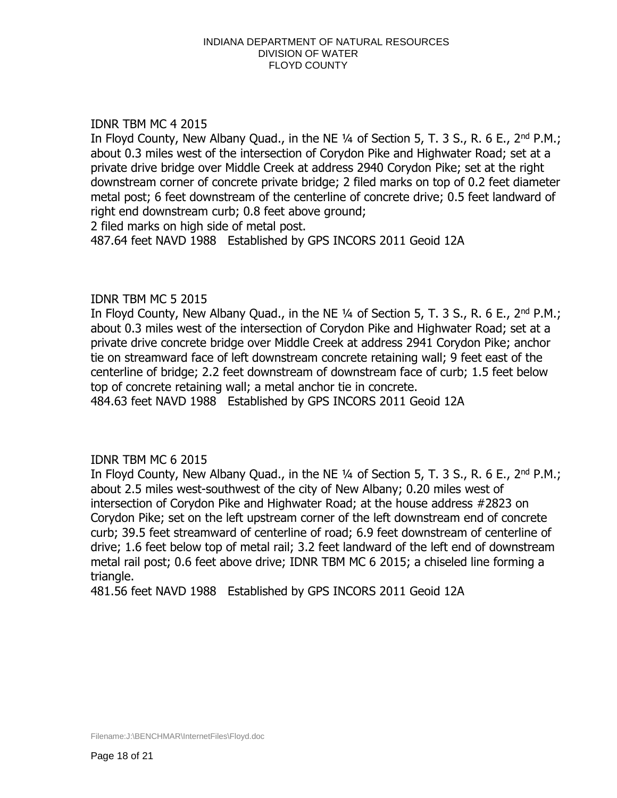IDNR TBM MC 4 2015

In Floyd County, New Albany Quad., in the NE  $\frac{1}{4}$  of Section 5, T. 3 S., R. 6 E., 2<sup>nd</sup> P.M.; about 0.3 miles west of the intersection of Corydon Pike and Highwater Road; set at a private drive bridge over Middle Creek at address 2940 Corydon Pike; set at the right downstream corner of concrete private bridge; 2 filed marks on top of 0.2 feet diameter metal post; 6 feet downstream of the centerline of concrete drive; 0.5 feet landward of right end downstream curb; 0.8 feet above ground;

2 filed marks on high side of metal post.

487.64 feet NAVD 1988 Established by GPS INCORS 2011 Geoid 12A

# IDNR TBM MC 5 2015

In Floyd County, New Albany Quad., in the NE  $\frac{1}{4}$  of Section 5, T. 3 S., R. 6 E., 2<sup>nd</sup> P.M.; about 0.3 miles west of the intersection of Corydon Pike and Highwater Road; set at a private drive concrete bridge over Middle Creek at address 2941 Corydon Pike; anchor tie on streamward face of left downstream concrete retaining wall; 9 feet east of the centerline of bridge; 2.2 feet downstream of downstream face of curb; 1.5 feet below top of concrete retaining wall; a metal anchor tie in concrete. 484.63 feet NAVD 1988 Established by GPS INCORS 2011 Geoid 12A

# IDNR TBM MC 6 2015

In Floyd County, New Albany Quad., in the NE  $\frac{1}{4}$  of Section 5, T. 3 S., R. 6 E., 2<sup>nd</sup> P.M.; about 2.5 miles west-southwest of the city of New Albany; 0.20 miles west of intersection of Corydon Pike and Highwater Road; at the house address #2823 on Corydon Pike; set on the left upstream corner of the left downstream end of concrete curb; 39.5 feet streamward of centerline of road; 6.9 feet downstream of centerline of drive; 1.6 feet below top of metal rail; 3.2 feet landward of the left end of downstream metal rail post; 0.6 feet above drive; IDNR TBM MC 6 2015; a chiseled line forming a triangle.

481.56 feet NAVD 1988 Established by GPS INCORS 2011 Geoid 12A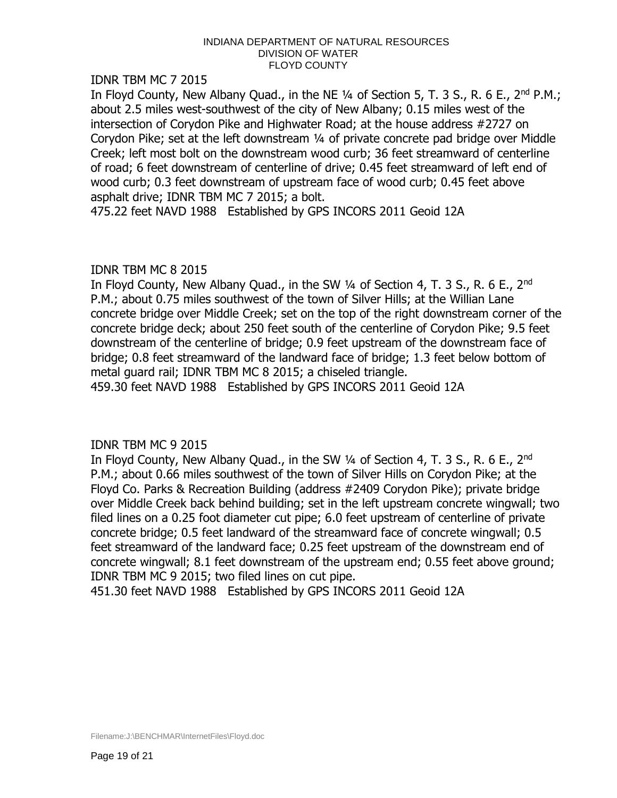IDNR TBM MC 7 2015

In Floyd County, New Albany Quad., in the NE 1/4 of Section 5, T. 3 S., R. 6 E., 2<sup>nd</sup> P.M.; about 2.5 miles west-southwest of the city of New Albany; 0.15 miles west of the intersection of Corydon Pike and Highwater Road; at the house address #2727 on Corydon Pike; set at the left downstream ¼ of private concrete pad bridge over Middle Creek; left most bolt on the downstream wood curb; 36 feet streamward of centerline of road; 6 feet downstream of centerline of drive; 0.45 feet streamward of left end of wood curb; 0.3 feet downstream of upstream face of wood curb; 0.45 feet above asphalt drive; IDNR TBM MC 7 2015; a bolt.

475.22 feet NAVD 1988 Established by GPS INCORS 2011 Geoid 12A

# IDNR TBM MC 8 2015

In Floyd County, New Albany Quad., in the SW  $\frac{1}{4}$  of Section 4, T. 3 S., R. 6 E., 2<sup>nd</sup> P.M.; about 0.75 miles southwest of the town of Silver Hills; at the Willian Lane concrete bridge over Middle Creek; set on the top of the right downstream corner of the concrete bridge deck; about 250 feet south of the centerline of Corydon Pike; 9.5 feet downstream of the centerline of bridge; 0.9 feet upstream of the downstream face of bridge; 0.8 feet streamward of the landward face of bridge; 1.3 feet below bottom of metal guard rail; IDNR TBM MC 8 2015; a chiseled triangle.

459.30 feet NAVD 1988 Established by GPS INCORS 2011 Geoid 12A

# IDNR TBM MC 9 2015

In Floyd County, New Albany Quad., in the SW  $\frac{1}{4}$  of Section 4, T. 3 S., R. 6 E., 2<sup>nd</sup> P.M.; about 0.66 miles southwest of the town of Silver Hills on Corydon Pike; at the Floyd Co. Parks & Recreation Building (address #2409 Corydon Pike); private bridge over Middle Creek back behind building; set in the left upstream concrete wingwall; two filed lines on a 0.25 foot diameter cut pipe; 6.0 feet upstream of centerline of private concrete bridge; 0.5 feet landward of the streamward face of concrete wingwall; 0.5 feet streamward of the landward face; 0.25 feet upstream of the downstream end of concrete wingwall; 8.1 feet downstream of the upstream end; 0.55 feet above ground; IDNR TBM MC 9 2015; two filed lines on cut pipe.

451.30 feet NAVD 1988 Established by GPS INCORS 2011 Geoid 12A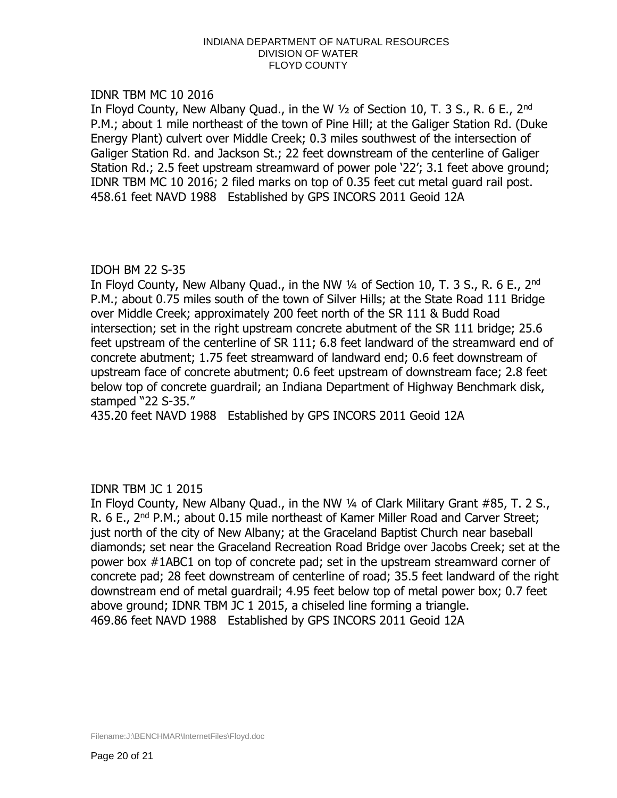### IDNR TBM MC 10 2016

In Floyd County, New Albany Quad., in the W  $1/2$  of Section 10, T. 3 S., R. 6 E., 2<sup>nd</sup> P.M.; about 1 mile northeast of the town of Pine Hill; at the Galiger Station Rd. (Duke Energy Plant) culvert over Middle Creek; 0.3 miles southwest of the intersection of Galiger Station Rd. and Jackson St.; 22 feet downstream of the centerline of Galiger Station Rd.; 2.5 feet upstream streamward of power pole '22'; 3.1 feet above ground; IDNR TBM MC 10 2016; 2 filed marks on top of 0.35 feet cut metal guard rail post. 458.61 feet NAVD 1988 Established by GPS INCORS 2011 Geoid 12A

# IDOH BM 22 S-35

In Floyd County, New Albany Quad., in the NW  $\frac{1}{4}$  of Section 10, T. 3 S., R. 6 E., 2<sup>nd</sup> P.M.; about 0.75 miles south of the town of Silver Hills; at the State Road 111 Bridge over Middle Creek; approximately 200 feet north of the SR 111 & Budd Road intersection; set in the right upstream concrete abutment of the SR 111 bridge; 25.6 feet upstream of the centerline of SR 111; 6.8 feet landward of the streamward end of concrete abutment; 1.75 feet streamward of landward end; 0.6 feet downstream of upstream face of concrete abutment; 0.6 feet upstream of downstream face; 2.8 feet below top of concrete guardrail; an Indiana Department of Highway Benchmark disk, stamped "22 S-35."

435.20 feet NAVD 1988 Established by GPS INCORS 2011 Geoid 12A

# IDNR TBM JC 1 2015

In Floyd County, New Albany Quad., in the NW ¼ of Clark Military Grant #85, T. 2 S., R. 6 E., 2<sup>nd</sup> P.M.; about 0.15 mile northeast of Kamer Miller Road and Carver Street; just north of the city of New Albany; at the Graceland Baptist Church near baseball diamonds; set near the Graceland Recreation Road Bridge over Jacobs Creek; set at the power box #1ABC1 on top of concrete pad; set in the upstream streamward corner of concrete pad; 28 feet downstream of centerline of road; 35.5 feet landward of the right downstream end of metal guardrail; 4.95 feet below top of metal power box; 0.7 feet above ground; IDNR TBM JC 1 2015, a chiseled line forming a triangle. 469.86 feet NAVD 1988 Established by GPS INCORS 2011 Geoid 12A